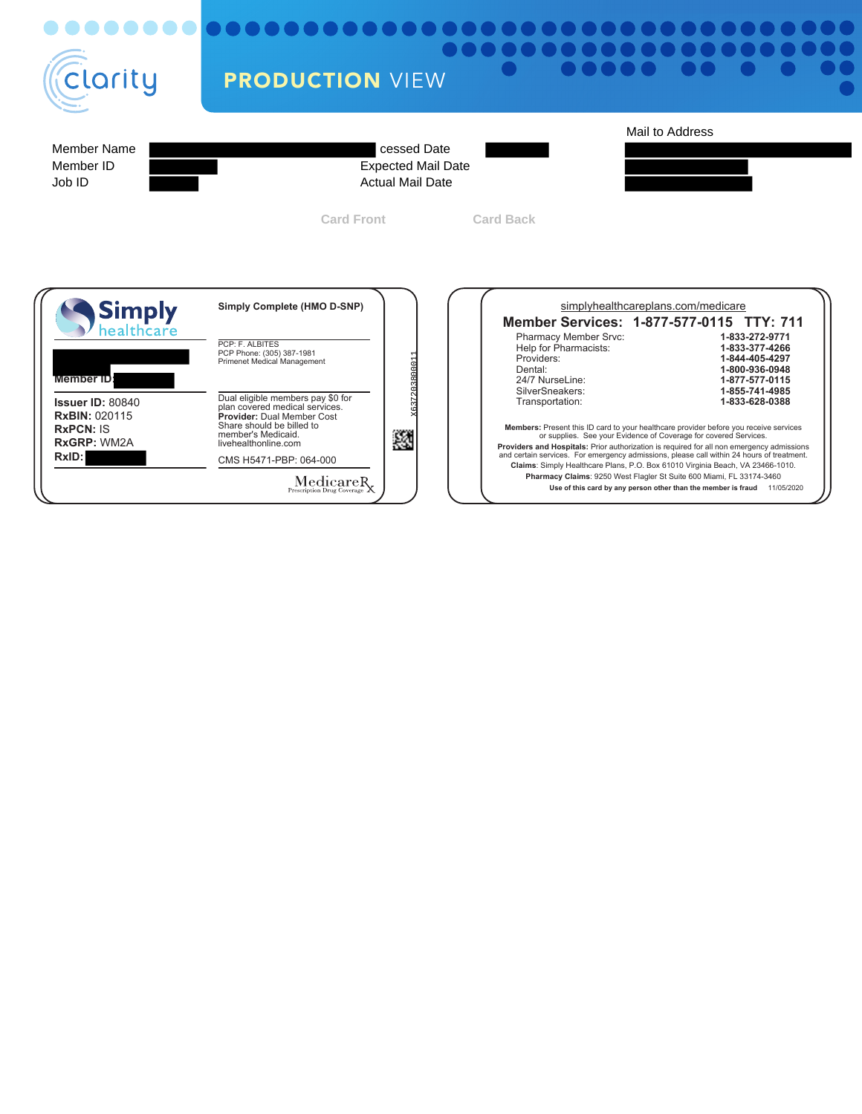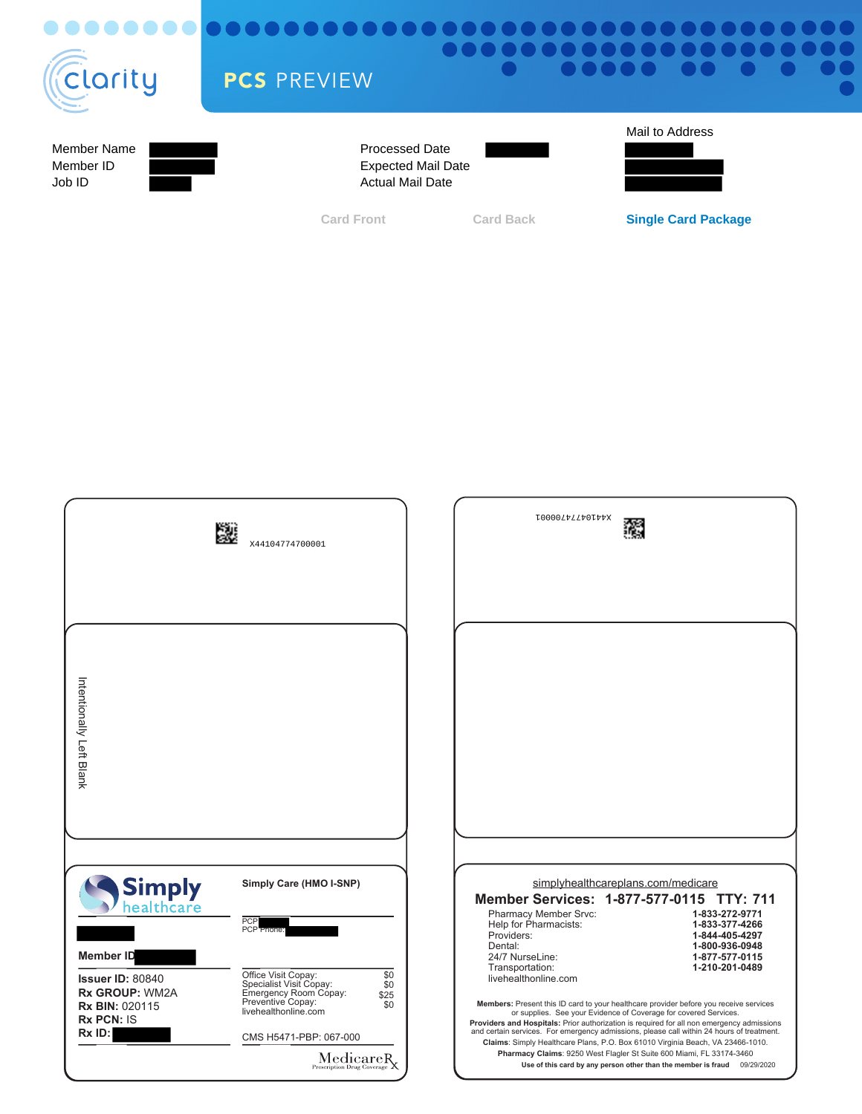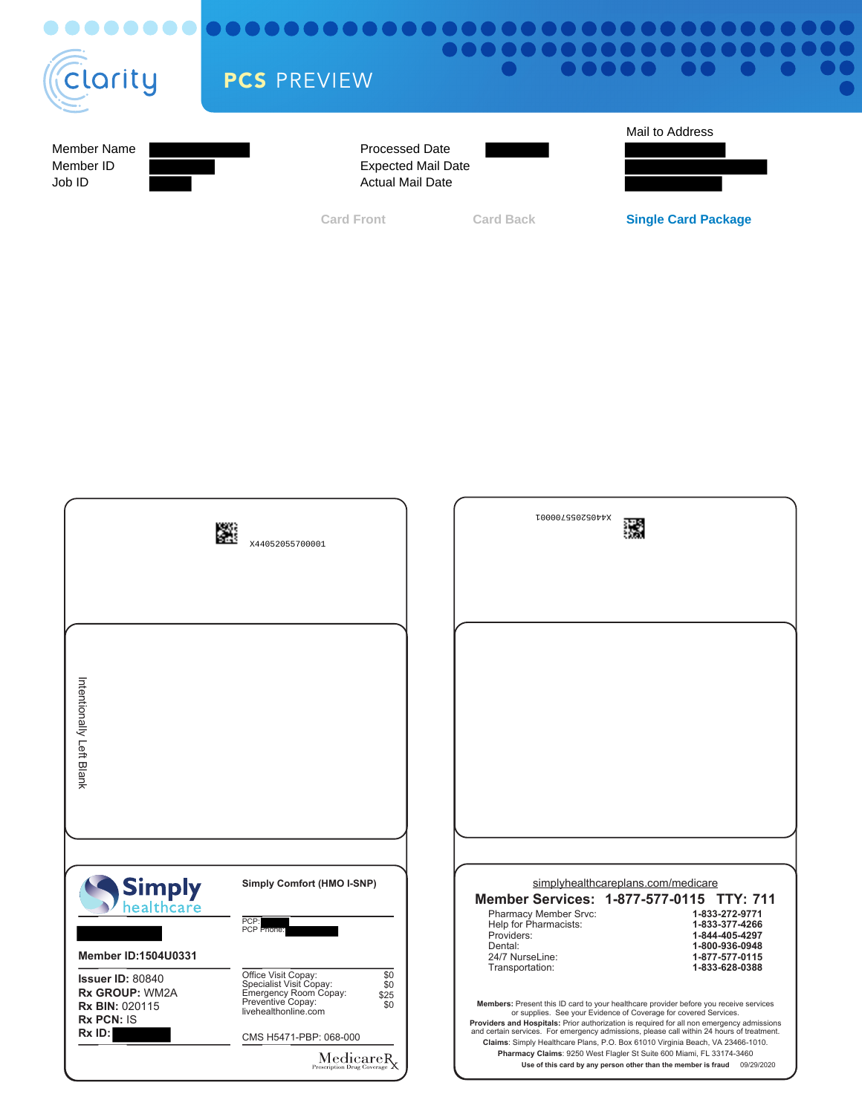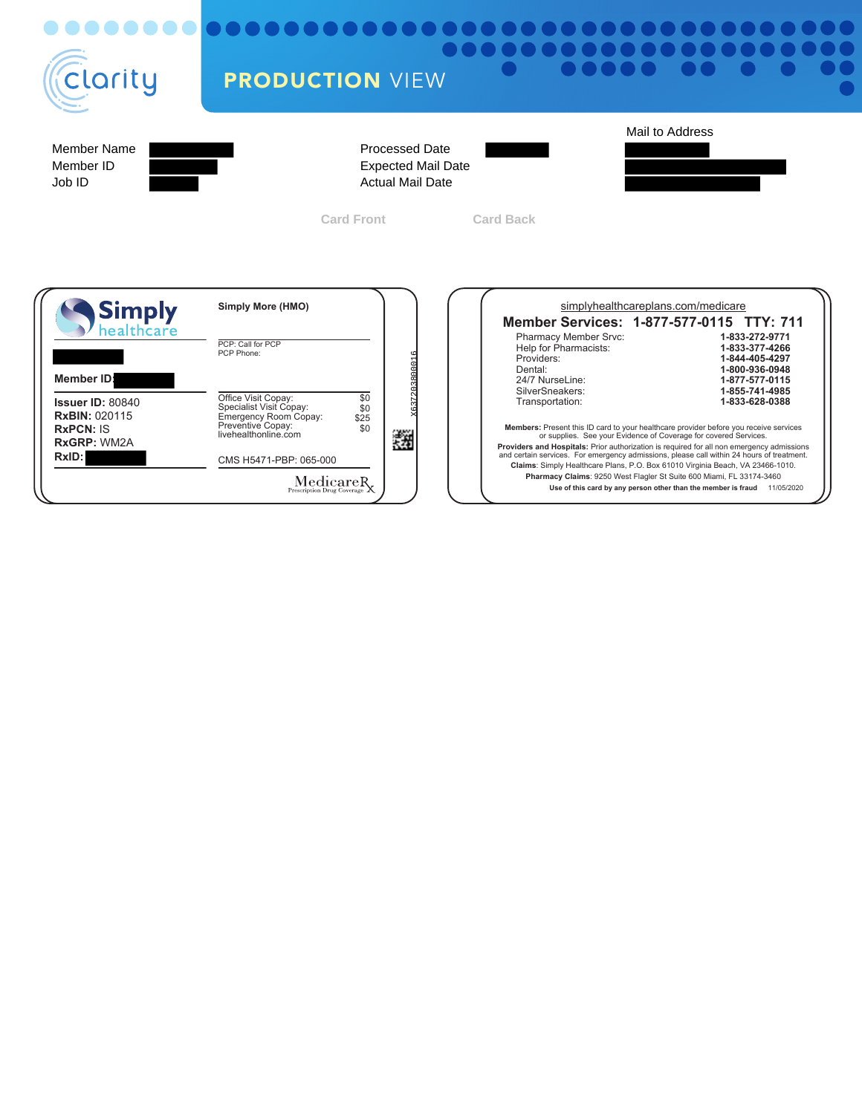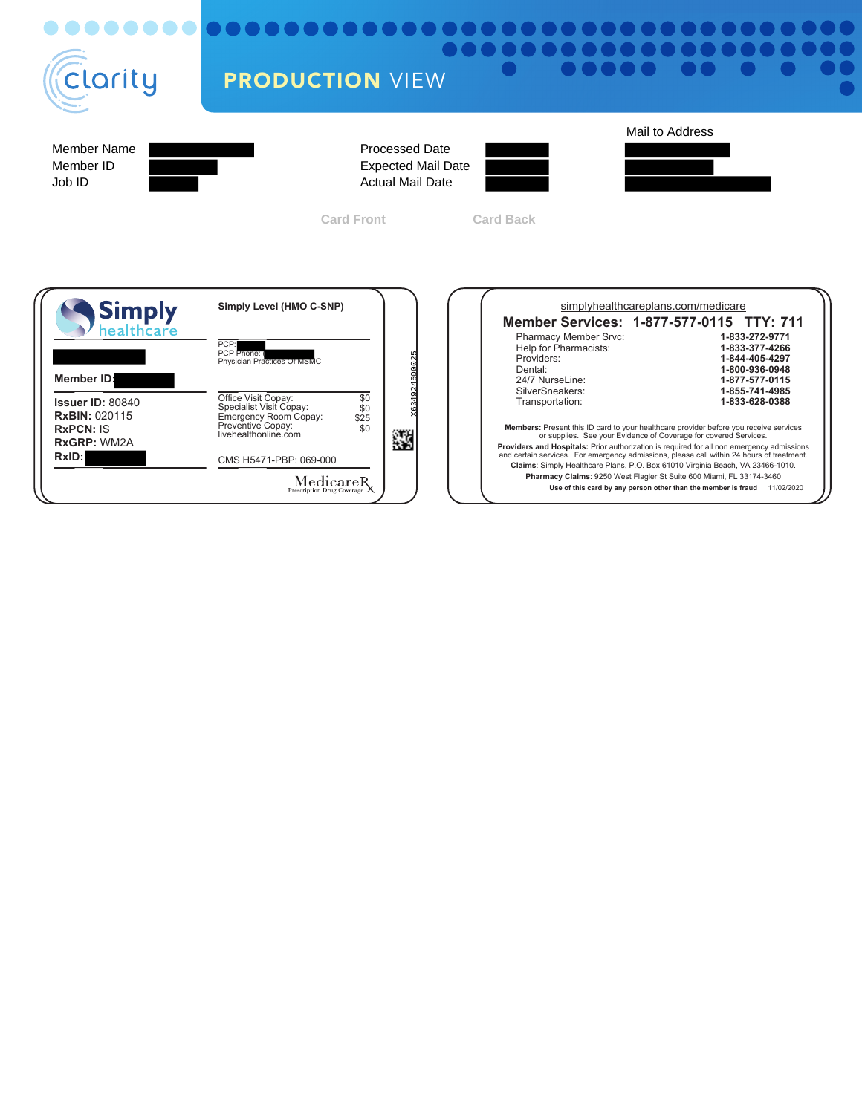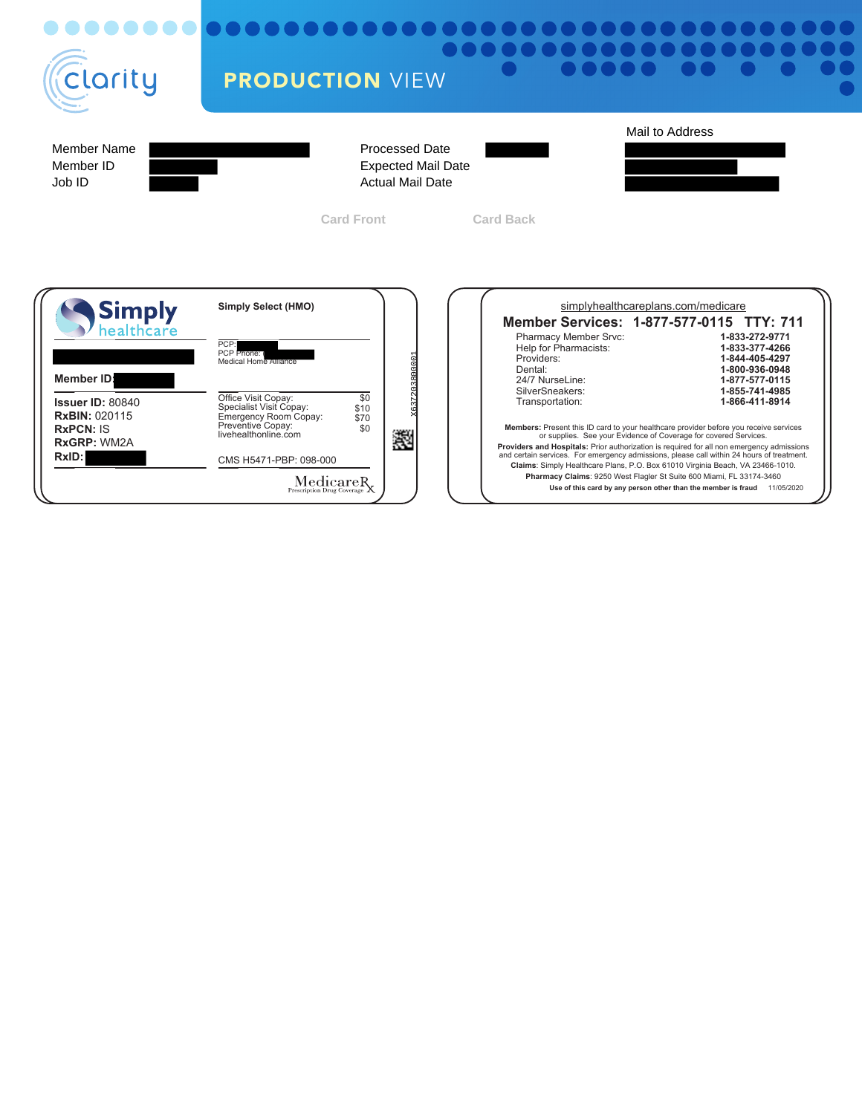